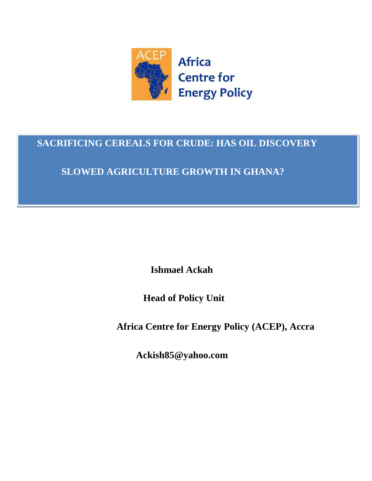

# **SACRIFICING CEREALS FOR CRUDE: HAS OIL DISCOVERY**

# **SLOWED AGRICULTURE GROWTH IN GHANA?**

 **Ishmael Ackah**

 **Head of Policy Unit**

 **Africa Centre for Energy Policy (ACEP), Accra**

 **Ackish85@yahoo.com**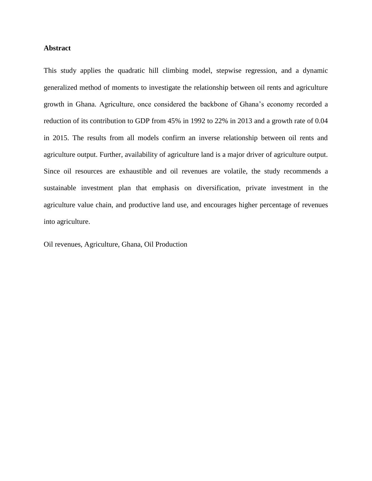#### **Abstract**

This study applies the quadratic hill climbing model, stepwise regression, and a dynamic generalized method of moments to investigate the relationship between oil rents and agriculture growth in Ghana. Agriculture, once considered the backbone of Ghana's economy recorded a reduction of its contribution to GDP from 45% in 1992 to 22% in 2013 and a growth rate of 0.04 in 2015. The results from all models confirm an inverse relationship between oil rents and agriculture output. Further, availability of agriculture land is a major driver of agriculture output. Since oil resources are exhaustible and oil revenues are volatile, the study recommends a sustainable investment plan that emphasis on diversification, private investment in the agriculture value chain, and productive land use, and encourages higher percentage of revenues into agriculture.

Oil revenues, Agriculture, Ghana, Oil Production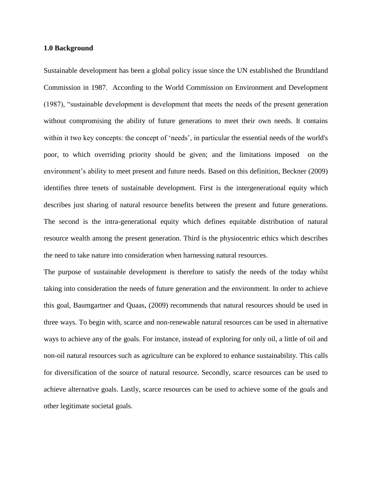#### **1.0 Background**

Sustainable development has been a global policy issue since the UN established the Brundtland Commission in 1987. According to the World Commission on Environment and Development (1987), "sustainable development is development that meets the needs of the present generation without compromising the ability of future generations to meet their own needs. It contains within it two key concepts: the concept of 'needs', in particular the essential needs of the world's poor, to which overriding priority should be given; and the limitations imposed on the environment's ability to meet present and future needs. Based on this definition, Beckner (2009) identifies three tenets of sustainable development. First is the intergenerational equity which describes just sharing of natural resource benefits between the present and future generations. The second is the intra-generational equity which defines equitable distribution of natural resource wealth among the present generation. Third is the physiocentric ethics which describes the need to take nature into consideration when harnessing natural resources.

The purpose of sustainable development is therefore to satisfy the needs of the today whilst taking into consideration the needs of future generation and the environment. In order to achieve this goal, Baumgartner and Quaas, (2009) recommends that natural resources should be used in three ways. To begin with, scarce and non-renewable natural resources can be used in alternative ways to achieve any of the goals. For instance, instead of exploring for only oil, a little of oil and non-oil natural resources such as agriculture can be explored to enhance sustainability. This calls for diversification of the source of natural resource. Secondly, scarce resources can be used to achieve alternative goals. Lastly, scarce resources can be used to achieve some of the goals and other legitimate societal goals.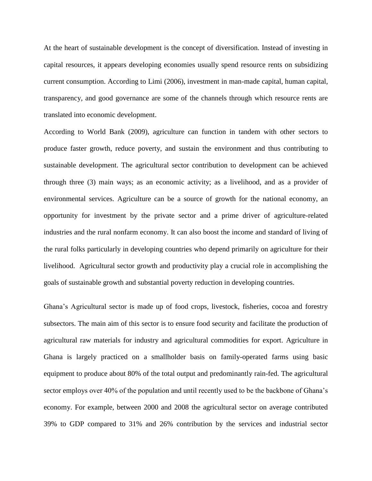At the heart of sustainable development is the concept of diversification. Instead of investing in capital resources, it appears developing economies usually spend resource rents on subsidizing current consumption. According to Limi (2006), investment in man-made capital, human capital, transparency, and good governance are some of the channels through which resource rents are translated into economic development.

According to World Bank (2009), agriculture can function in tandem with other sectors to produce faster growth, reduce poverty, and sustain the environment and thus contributing to sustainable development. The agricultural sector contribution to development can be achieved through three (3) main ways; as an economic activity; as a livelihood, and as a provider of environmental services. Agriculture can be a source of growth for the national economy, an opportunity for investment by the private sector and a prime driver of agriculture-related industries and the rural nonfarm economy. It can also boost the income and standard of living of the rural folks particularly in developing countries who depend primarily on agriculture for their livelihood. Agricultural sector growth and productivity play a crucial role in accomplishing the goals of sustainable growth and substantial poverty reduction in developing countries.

Ghana's Agricultural sector is made up of food crops, livestock, fisheries, cocoa and forestry subsectors. The main aim of this sector is to ensure food security and facilitate the production of agricultural raw materials for industry and agricultural commodities for export. Agriculture in Ghana is largely practiced on a smallholder basis on family-operated farms using basic equipment to produce about 80% of the total output and predominantly rain-fed. The agricultural sector employs over 40% of the population and until recently used to be the backbone of Ghana's economy. For example, between 2000 and 2008 the agricultural sector on average contributed 39% to GDP compared to 31% and 26% contribution by the services and industrial sector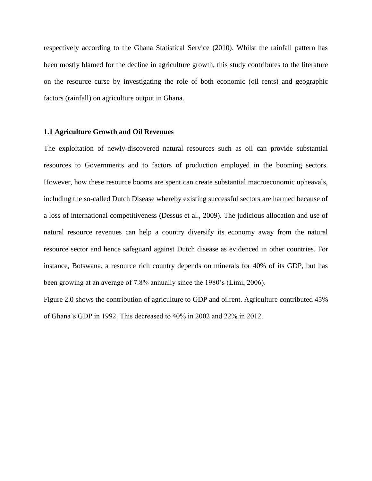respectively according to the Ghana Statistical Service (2010). Whilst the rainfall pattern has been mostly blamed for the decline in agriculture growth, this study contributes to the literature on the resource curse by investigating the role of both economic (oil rents) and geographic factors (rainfall) on agriculture output in Ghana.

#### **1.1 Agriculture Growth and Oil Revenues**

The exploitation of newly-discovered natural resources such as oil can provide substantial resources to Governments and to factors of production employed in the booming sectors. However, how these resource booms are spent can create substantial macroeconomic upheavals, including the so-called Dutch Disease whereby existing successful sectors are harmed because of a loss of international competitiveness (Dessus et al., 2009). The judicious allocation and use of natural resource revenues can help a country diversify its economy away from the natural resource sector and hence safeguard against Dutch disease as evidenced in other countries. For instance, Botswana, a resource rich country depends on minerals for 40% of its GDP, but has been growing at an average of 7.8% annually since the 1980's (Limi, 2006).

Figure 2.0 shows the contribution of agriculture to GDP and oilrent. Agriculture contributed 45% of Ghana's GDP in 1992. This decreased to 40% in 2002 and 22% in 2012.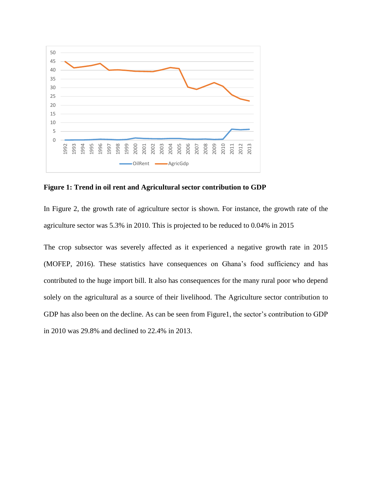

**Figure 1: Trend in oil rent and Agricultural sector contribution to GDP**

In Figure 2, the growth rate of agriculture sector is shown. For instance, the growth rate of the agriculture sector was 5.3% in 2010. This is projected to be reduced to 0.04% in 2015

The crop subsector was severely affected as it experienced a negative growth rate in 2015 (MOFEP, 2016). These statistics have consequences on Ghana's food sufficiency and has contributed to the huge import bill. It also has consequences for the many rural poor who depend solely on the agricultural as a source of their livelihood. The Agriculture sector contribution to GDP has also been on the decline. As can be seen from Figure1, the sector's contribution to GDP in 2010 was 29.8% and declined to 22.4% in 2013.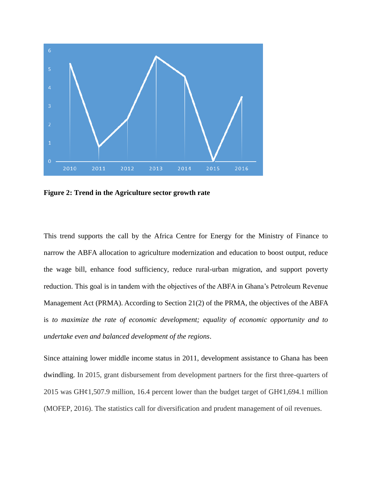

**Figure 2: Trend in the Agriculture sector growth rate**

This trend supports the call by the Africa Centre for Energy for the Ministry of Finance to narrow the ABFA allocation to agriculture modernization and education to boost output, reduce the wage bill, enhance food sufficiency, reduce rural-urban migration, and support poverty reduction. This goal is in tandem with the objectives of the ABFA in Ghana's Petroleum Revenue Management Act (PRMA). According to Section 21(2) of the PRMA, the objectives of the ABFA is *to maximize the rate of economic development; equality of economic opportunity and to undertake even and balanced development of the regions*.

Since attaining lower middle income status in 2011, development assistance to Ghana has been dwindling. In 2015, grant disbursement from development partners for the first three-quarters of 2015 was GH $\mathcal{L}1$ ,507.9 million, 16.4 percent lower than the budget target of GH $\mathcal{L}1$ ,694.1 million (MOFEP, 2016). The statistics call for diversification and prudent management of oil revenues.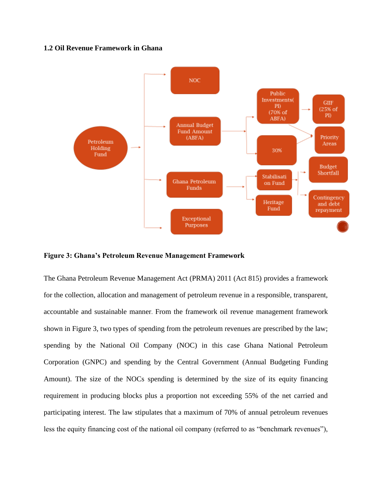#### **1.2 Oil Revenue Framework in Ghana**



**Figure 3: Ghana's Petroleum Revenue Management Framework** 

The Ghana Petroleum Revenue Management Act (PRMA) 2011 (Act 815) provides a framework for the collection, allocation and management of petroleum revenue in a responsible, transparent, accountable and sustainable manner. From the framework oil revenue management framework shown in Figure 3, two types of spending from the petroleum revenues are prescribed by the law; spending by the National Oil Company (NOC) in this case Ghana National Petroleum Corporation (GNPC) and spending by the Central Government (Annual Budgeting Funding Amount). The size of the NOCs spending is determined by the size of its equity financing requirement in producing blocks plus a proportion not exceeding 55% of the net carried and participating interest. The law stipulates that a maximum of 70% of annual petroleum revenues less the equity financing cost of the national oil company (referred to as "benchmark revenues"),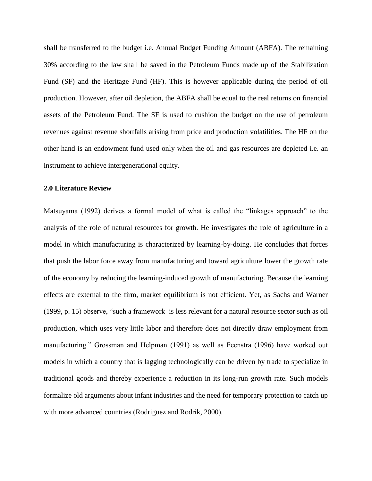shall be transferred to the budget i.e. Annual Budget Funding Amount (ABFA). The remaining 30% according to the law shall be saved in the Petroleum Funds made up of the Stabilization Fund (SF) and the Heritage Fund (HF). This is however applicable during the period of oil production. However, after oil depletion, the ABFA shall be equal to the real returns on financial assets of the Petroleum Fund. The SF is used to cushion the budget on the use of petroleum revenues against revenue shortfalls arising from price and production volatilities. The HF on the other hand is an endowment fund used only when the oil and gas resources are depleted i.e. an instrument to achieve intergenerational equity.

## **2.0 Literature Review**

Matsuyama (1992) derives a formal model of what is called the "linkages approach" to the analysis of the role of natural resources for growth. He investigates the role of agriculture in a model in which manufacturing is characterized by learning-by-doing. He concludes that forces that push the labor force away from manufacturing and toward agriculture lower the growth rate of the economy by reducing the learning-induced growth of manufacturing. Because the learning effects are external to the firm, market equilibrium is not efficient. Yet, as Sachs and Warner (1999, p. 15) observe, "such a framework is less relevant for a natural resource sector such as oil production, which uses very little labor and therefore does not directly draw employment from manufacturing." Grossman and Helpman (1991) as well as Feenstra (1996) have worked out models in which a country that is lagging technologically can be driven by trade to specialize in traditional goods and thereby experience a reduction in its long-run growth rate. Such models formalize old arguments about infant industries and the need for temporary protection to catch up with more advanced countries (Rodriguez and Rodrik, 2000).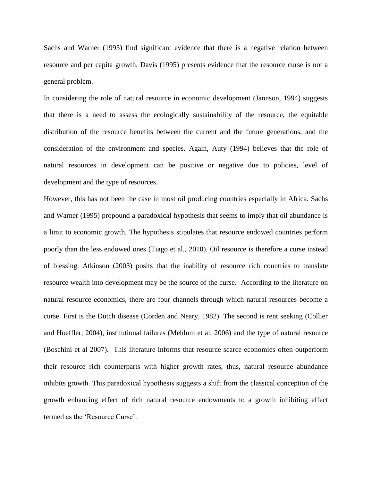Sachs and Warner (1995) find significant evidence that there is a negative relation between resource and per capita growth. Davis (1995) presents evidence that the resource curse is not a general problem.

In considering the role of natural resource in economic development (Jannson, 1994) suggests that there is a need to assess the ecologically sustainability of the resource, the equitable distribution of the resource benefits between the current and the future generations, and the consideration of the environment and species. Again, Auty (1994) believes that the role of natural resources in development can be positive or negative due to policies, level of development and the type of resources.

However, this has not been the case in most oil producing countries especially in Africa. Sachs and Warner (1995) propound a paradoxical hypothesis that seems to imply that oil abundance is a limit to economic growth. The hypothesis stipulates that resource endowed countries perform poorly than the less endowed ones (Tiago et al., 2010). Oil resource is therefore a curse instead of blessing. Atkinson (2003) posits that the inability of resource rich countries to translate resource wealth into development may be the source of the curse. According to the literature on natural resource economics, there are four channels through which natural resources become a curse. First is the Dutch disease (Corden and Neary, 1982). The second is rent seeking (Collier and Hoeffler, 2004), institutional failures (Mehlum et al, 2006) and the type of natural resource (Boschini et al 2007). This literature informs that resource scarce economies often outperform their resource rich counterparts with higher growth rates, thus, natural resource abundance inhibits growth. This paradoxical hypothesis suggests a shift from the classical conception of the growth enhancing effect of rich natural resource endowments to a growth inhibiting effect termed as the 'Resource Curse'.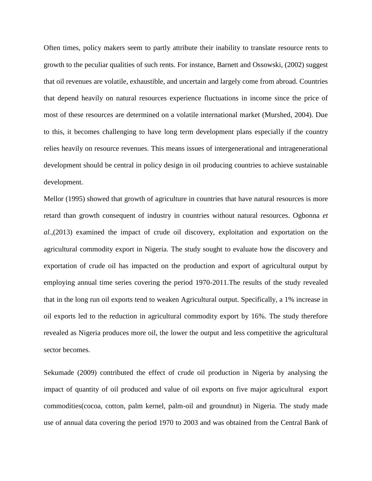Often times, policy makers seem to partly attribute their inability to translate resource rents to growth to the peculiar qualities of such rents. For instance, Barnett and Ossowski, (2002) suggest that oil revenues are volatile, exhaustible, and uncertain and largely come from abroad. Countries that depend heavily on natural resources experience fluctuations in income since the price of most of these resources are determined on a volatile international market (Murshed, 2004). Due to this, it becomes challenging to have long term development plans especially if the country relies heavily on resource revenues. This means issues of intergenerational and intragenerational development should be central in policy design in oil producing countries to achieve sustainable development.

Mellor (1995) showed that growth of agriculture in countries that have natural resources is more retard than growth consequent of industry in countries without natural resources. Ogbonna *et al.*,(2013) examined the impact of crude oil discovery, exploitation and exportation on the agricultural commodity export in Nigeria. The study sought to evaluate how the discovery and exportation of crude oil has impacted on the production and export of agricultural output by employing annual time series covering the period 1970-2011.The results of the study revealed that in the long run oil exports tend to weaken Agricultural output. Specifically, a 1% increase in oil exports led to the reduction in agricultural commodity export by 16%. The study therefore revealed as Nigeria produces more oil, the lower the output and less competitive the agricultural sector becomes.

Sekumade (2009) contributed the effect of crude oil production in Nigeria by analysing the impact of quantity of oil produced and value of oil exports on five major agricultural export commodities(cocoa, cotton, palm kernel, palm-oil and groundnut) in Nigeria. The study made use of annual data covering the period 1970 to 2003 and was obtained from the Central Bank of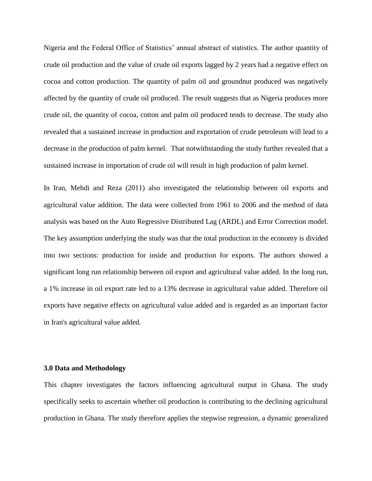Nigeria and the Federal Office of Statistics' annual abstract of statistics. The author quantity of crude oil production and the value of crude oil exports lagged by 2 years had a negative effect on cocoa and cotton production. The quantity of palm oil and groundnut produced was negatively affected by the quantity of crude oil produced. The result suggests that as Nigeria produces more crude oil, the quantity of cocoa, cotton and palm oil produced tends to decrease. The study also revealed that a sustained increase in production and exportation of crude petroleum will lead to a decrease in the production of palm kernel. That notwithstanding the study further revealed that a sustained increase in importation of crude oil will result in high production of palm kernel.

In Iran, Mehdi and Reza (2011) also investigated the relationship between oil exports and agricultural value addition. The data were collected from 1961 to 2006 and the method of data analysis was based on the Auto Regressive Distributed Lag (ARDL) and Error Correction model. The key assumption underlying the study was that the total production in the economy is divided into two sections: production for inside and production for exports. The authors showed a significant long run relationship between oil export and agricultural value added. In the long run, a 1% increase in oil export rate led to a 13% decrease in agricultural value added. Therefore oil exports have negative effects on agricultural value added and is regarded as an important factor in Iran's agricultural value added.

## **3.0 Data and Methodology**

This chapter investigates the factors influencing agricultural output in Ghana. The study specifically seeks to ascertain whether oil production is contributing to the declining agricultural production in Ghana. The study therefore applies the stepwise regression, a dynamic generalized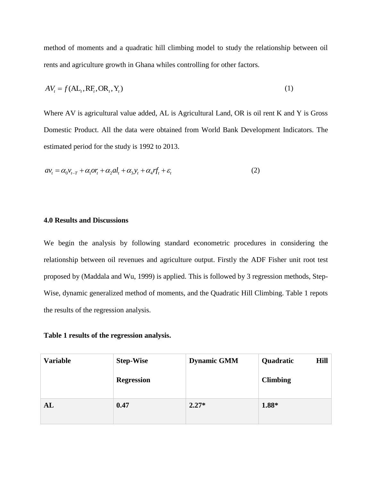method of moments and a quadratic hill climbing model to study the relationship between oil rents and agriculture growth in Ghana whiles controlling for other factors.

$$
AVt = f(ALt, RFt, ORt, Yt)
$$
 (1)

Where AV is agricultural value added, AL is Agricultural Land, OR is oil rent K and Y is Gross Domestic Product. All the data were obtained from World Bank Development Indicators. The estimated period for the study is 1992 to 2013.

$$
av_t = \alpha_0 v_{t-T} + \alpha_1 \sigma r_t + \alpha_2 al_t + \alpha_3 y_t + \alpha_4 r f_t + \varepsilon_t
$$
\n(2)

## **4.0 Results and Discussions**

We begin the analysis by following standard econometric procedures in considering the relationship between oil revenues and agriculture output. Firstly the ADF Fisher unit root test proposed by (Maddala and Wu, 1999) is applied. This is followed by 3 regression methods, Step-Wise, dynamic generalized method of moments, and the Quadratic Hill Climbing. Table 1 repots the results of the regression analysis.

#### **Table 1 results of the regression analysis.**

| <b>Variable</b> | <b>Step-Wise</b>  | <b>Dynamic GMM</b> | <b>Hill</b><br>Quadratic |
|-----------------|-------------------|--------------------|--------------------------|
|                 | <b>Regression</b> |                    | <b>Climbing</b>          |
| AL              | 0.47              | $2.27*$            | 1.88*                    |
|                 |                   |                    |                          |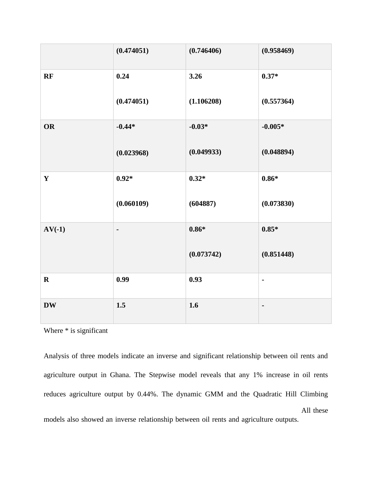|             | (0.474051)     | (0.746406) | (0.958469)     |
|-------------|----------------|------------|----------------|
| RF          | 0.24           | 3.26       | $0.37*$        |
|             | (0.474051)     | (1.106208) | (0.557364)     |
| <b>OR</b>   | $-0.44*$       | $-0.03*$   | $-0.005*$      |
|             | (0.023968)     | (0.049933) | (0.048894)     |
| $\mathbf Y$ | $0.92*$        | $0.32*$    | $0.86*$        |
|             | (0.060109)     | (604887)   | (0.073830)     |
| $AV(-1)$    | $\blacksquare$ | $0.86*$    | $0.85*$        |
|             |                | (0.073742) | (0.851448)     |
| $\mathbf R$ | 0.99           | 0.93       | $\blacksquare$ |
| <b>DW</b>   | 1.5            | 1.6        | $\blacksquare$ |

Where  $*$  is significant

Analysis of three models indicate an inverse and significant relationship between oil rents and agriculture output in Ghana. The Stepwise model reveals that any 1% increase in oil rents reduces agriculture output by 0.44%. The dynamic GMM and the Quadratic Hill Climbing models also showed an inverse relationship between oil rents and agriculture outputs. All these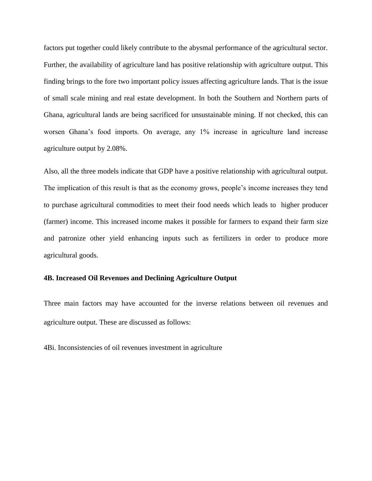factors put together could likely contribute to the abysmal performance of the agricultural sector. Further, the availability of agriculture land has positive relationship with agriculture output. This finding brings to the fore two important policy issues affecting agriculture lands. That is the issue of small scale mining and real estate development. In both the Southern and Northern parts of Ghana, agricultural lands are being sacrificed for unsustainable mining. If not checked, this can worsen Ghana's food imports. On average, any 1% increase in agriculture land increase agriculture output by 2.08%.

Also, all the three models indicate that GDP have a positive relationship with agricultural output. The implication of this result is that as the economy grows, people's income increases they tend to purchase agricultural commodities to meet their food needs which leads to higher producer (farmer) income. This increased income makes it possible for farmers to expand their farm size and patronize other yield enhancing inputs such as fertilizers in order to produce more agricultural goods.

# **4B. Increased Oil Revenues and Declining Agriculture Output**

Three main factors may have accounted for the inverse relations between oil revenues and agriculture output. These are discussed as follows:

4Bi. Inconsistencies of oil revenues investment in agriculture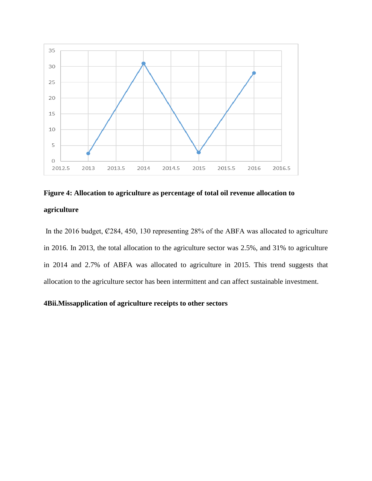

# **Figure 4: Allocation to agriculture as percentage of total oil revenue allocation to agriculture**

In the 2016 budget,  $\mathcal{C}284$ , 450, 130 representing 28% of the ABFA was allocated to agriculture in 2016. In 2013, the total allocation to the agriculture sector was 2.5%, and 31% to agriculture in 2014 and 2.7% of ABFA was allocated to agriculture in 2015. This trend suggests that allocation to the agriculture sector has been intermittent and can affect sustainable investment.

# **4Bii.Missapplication of agriculture receipts to other sectors**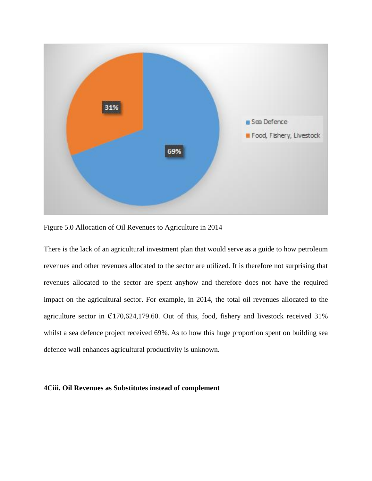

Figure 5.0 Allocation of Oil Revenues to Agriculture in 2014

There is the lack of an agricultural investment plan that would serve as a guide to how petroleum revenues and other revenues allocated to the sector are utilized. It is therefore not surprising that revenues allocated to the sector are spent anyhow and therefore does not have the required impact on the agricultural sector. For example, in 2014, the total oil revenues allocated to the agriculture sector in  $\mathcal{C}170,624,179.60$ . Out of this, food, fishery and livestock received 31% whilst a sea defence project received 69%. As to how this huge proportion spent on building sea defence wall enhances agricultural productivity is unknown.

#### **4Ciii. Oil Revenues as Substitutes instead of complement**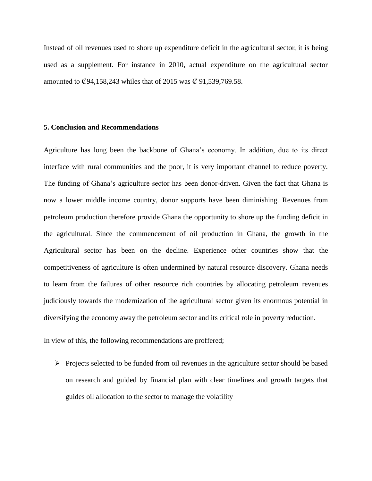Instead of oil revenues used to shore up expenditure deficit in the agricultural sector, it is being used as a supplement. For instance in 2010, actual expenditure on the agricultural sector amounted to  $\mathcal{C}94,158,243$  whiles that of 2015 was  $\mathcal{C}91,539,769.58$ .

#### **5. Conclusion and Recommendations**

Agriculture has long been the backbone of Ghana's economy. In addition, due to its direct interface with rural communities and the poor, it is very important channel to reduce poverty. The funding of Ghana's agriculture sector has been donor-driven. Given the fact that Ghana is now a lower middle income country, donor supports have been diminishing. Revenues from petroleum production therefore provide Ghana the opportunity to shore up the funding deficit in the agricultural. Since the commencement of oil production in Ghana, the growth in the Agricultural sector has been on the decline. Experience other countries show that the competitiveness of agriculture is often undermined by natural resource discovery. Ghana needs to learn from the failures of other resource rich countries by allocating petroleum revenues judiciously towards the modernization of the agricultural sector given its enormous potential in diversifying the economy away the petroleum sector and its critical role in poverty reduction.

In view of this, the following recommendations are proffered;

 $\triangleright$  Projects selected to be funded from oil revenues in the agriculture sector should be based on research and guided by financial plan with clear timelines and growth targets that guides oil allocation to the sector to manage the volatility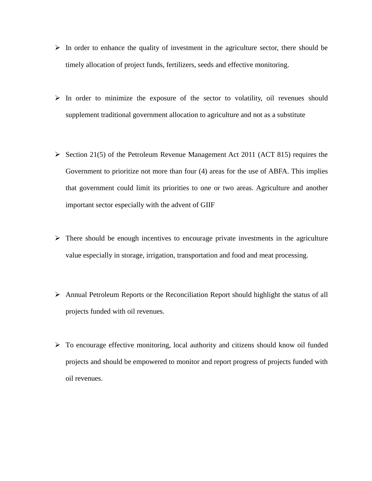- $\triangleright$  In order to enhance the quality of investment in the agriculture sector, there should be timely allocation of project funds, fertilizers, seeds and effective monitoring.
- $\triangleright$  In order to minimize the exposure of the sector to volatility, oil revenues should supplement traditional government allocation to agriculture and not as a substitute
- Section 21(5) of the Petroleum Revenue Management Act 2011 (ACT 815) requires the Government to prioritize not more than four (4) areas for the use of ABFA. This implies that government could limit its priorities to one or two areas. Agriculture and another important sector especially with the advent of GIIF
- $\triangleright$  There should be enough incentives to encourage private investments in the agriculture value especially in storage, irrigation, transportation and food and meat processing.
- Annual Petroleum Reports or the Reconciliation Report should highlight the status of all projects funded with oil revenues.
- $\triangleright$  To encourage effective monitoring, local authority and citizens should know oil funded projects and should be empowered to monitor and report progress of projects funded with oil revenues.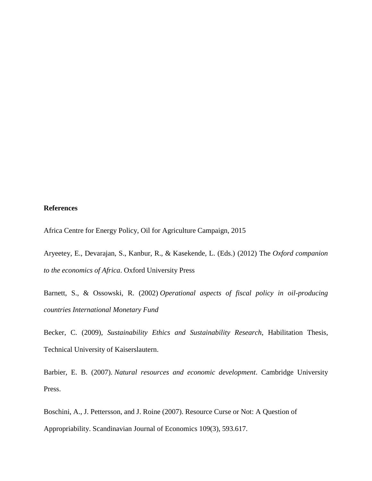# **References**

Africa Centre for Energy Policy, Oil for Agriculture Campaign, 2015

Aryeetey, E., Devarajan, S., Kanbur, R., & Kasekende, L. (Eds.) (2012) The *Oxford companion to the economics of Africa*. Oxford University Press

Barnett, S., & Ossowski, R. (2002) *Operational aspects of fiscal policy in oil-producing countries International Monetary Fund*

Becker, C. (2009), *Sustainability Ethics and Sustainability Research*, Habilitation Thesis, Technical University of Kaiserslautern.

Barbier, E. B. (2007). *Natural resources and economic development*. Cambridge University Press.

Boschini, A., J. Pettersson, and J. Roine (2007). Resource Curse or Not: A Question of Appropriability. Scandinavian Journal of Economics 109(3), 593.617.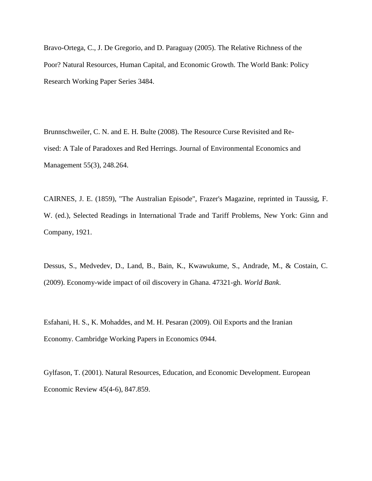Bravo-Ortega, C., J. De Gregorio, and D. Paraguay (2005). The Relative Richness of the Poor? Natural Resources, Human Capital, and Economic Growth. The World Bank: Policy Research Working Paper Series 3484.

Brunnschweiler, C. N. and E. H. Bulte (2008). The Resource Curse Revisited and Revised: A Tale of Paradoxes and Red Herrings. Journal of Environmental Economics and Management 55(3), 248.264.

CAIRNES, J. E. (1859), "The Australian Episode", Frazer's Magazine, reprinted in Taussig, F. W. (ed.), Selected Readings in International Trade and Tariff Problems, New York: Ginn and Company, 1921.

Dessus, S., Medvedev, D., Land, B., Bain, K., Kwawukume, S., Andrade, M., & Costain, C. (2009). Economy-wide impact of oil discovery in Ghana. 47321-gh. *World Bank*.

Esfahani, H. S., K. Mohaddes, and M. H. Pesaran (2009). Oil Exports and the Iranian Economy. Cambridge Working Papers in Economics 0944.

Gylfason, T. (2001). Natural Resources, Education, and Economic Development. European Economic Review 45(4-6), 847.859.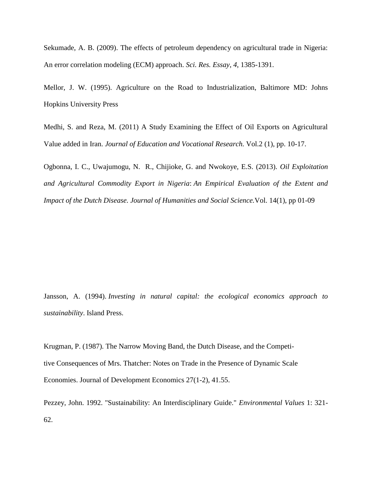Sekumade, A. B. (2009). The effects of petroleum dependency on agricultural trade in Nigeria: An error correlation modeling (ECM) approach. *Sci. Res. Essay*, *4*, 1385-1391.

Mellor, J. W. (1995). Agriculture on the Road to Industrialization, Baltimore MD: Johns Hopkins University Press

Medhi, S. and Reza, M. (2011) A Study Examining the Effect of Oil Exports on Agricultural Value added in Iran. *Journal of Education and Vocational Research.* Vol.2 (1), pp. 10-17.

Ogbonna, I. C., Uwajumogu, N. R., Chijioke, G. and Nwokoye, E.S. (2013). *Oil Exploitation and Agricultural Commodity Export in Nigeria*: *An Empirical Evaluation of the Extent and Impact of the Dutch Disease. Journal of Humanities and Social Science.*Vol. 14(1), pp 01-09

Jansson, A. (1994). *Investing in natural capital: the ecological economics approach to sustainability*. Island Press.

Krugman, P. (1987). The Narrow Moving Band, the Dutch Disease, and the Competitive Consequences of Mrs. Thatcher: Notes on Trade in the Presence of Dynamic Scale Economies. Journal of Development Economics 27(1-2), 41.55.

Pezzey, John. 1992. "Sustainability: An Interdisciplinary Guide." *Environmental Values* 1: 321- 62.